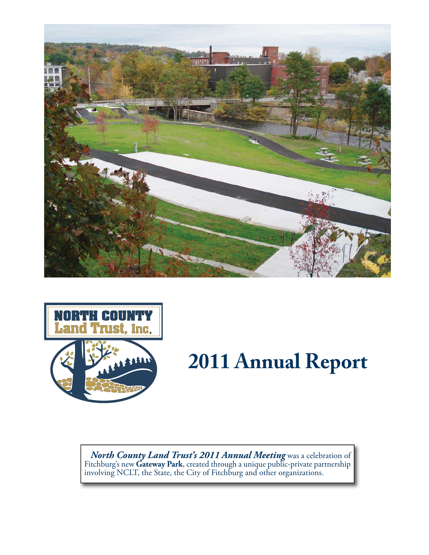



# **2011 Annual Report**

*North County Land Trust's 2011 Annual Meeting* was a celebration of Fitchburg's new **Gateway Park**, created through a unique public-private partnership involving NCLT, the State, the City of Fitchburg and other organizations.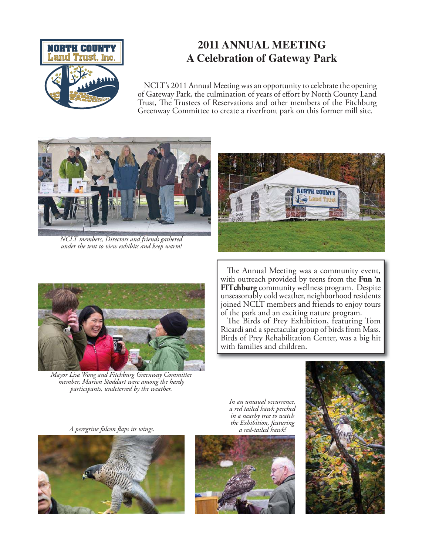

# **2011 ANNUAL MEETING A Celebration of Gateway Park**

NCLT's 2011 Annual Meeting was an opportunity to celebrate the opening of Gateway Park, the culmination of years of effort by North County Land Trust, The Trustees of Reservations and other members of the Fitchburg Greenway Committee to create a riverfront park on this former mill site.



*NCLT members, Directors and friends gathered under the tent to view exhibits and keep warm!*





*Mayor Lisa Wong and Fitchburg Greenway Committee member, Marion Stoddart were among the hardy participants, undeterred by the weather.*

The Annual Meeting was a community event, with outreach provided by teens from the **Fun 'n FITchburg** community wellness program. Despite unseasonably cold weather, neighborhood residents joined NCLT members and friends to enjoy tours of the park and an exciting nature program.

The Birds of Prey Exhibition, featuring Tom Ricardi and a spectacular group of birds from Mass. Birds of Prey Rehabilitation Center, was a big hit with families and children.

*A peregrine falcon flaps its wings.* 



*In an unusual occurrence, a red tailed hawk perched in a nearby tree to watch the Exhibition, featuring* 



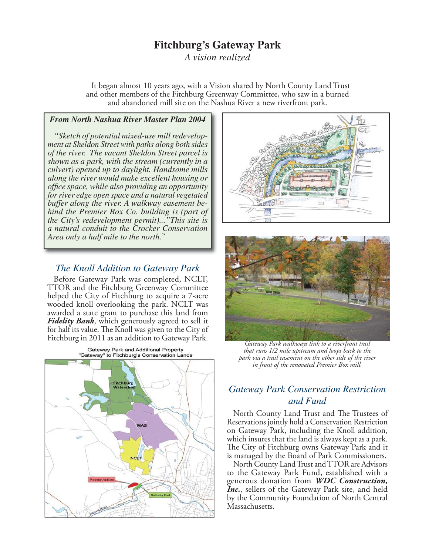## **Fitchburg's Gateway Park**

*A vision realized*

It began almost 10 years ago, with a Vision shared by North County Land Trust and other members of the Fitchburg Greenway Committee, who saw in a burned and abandoned mill site on the Nashua River a new riverfront park.

#### *From North Nashua River Master Plan 2004*

*"Sketch of potential mixed-use mill redevelopment at Sheldon Street with paths along both sides of the river. The vacant Sheldon Street parcel is shown as a park, with the stream (currently in a culvert) opened up to daylight. Handsome mills along the river would make excellent housing or offi ce space, while also providing an opportunity for river edge open space and a natural vegetated buffer along the river. A walkway easement behind the Premier Box Co. building is (part of the City's redevelopment permit)..."This site is a natural conduit to the Crocker Conservation Area only a half mile to the north.*"

#### *The Knoll Addition to Gateway Park*

Before Gateway Park was completed, NCLT, TTOR and the Fitchburg Greenway Committee helped the City of Fitchburg to acquire a 7-acre wooded knoll overlooking the park. NCLT was awarded a state grant to purchase this land from *Fidelity Bank*, which generously agreed to sell it for half its value. The Knoll was given to the City of Fitchburg in 2011 as an addition to Gateway Park.







*Gateway Park walkways link to a riverfront trail that runs 1/2 mile upstream and loops back to the park via a trail easement on the other side of the river in front of the renovated Premier Box mill.*

#### *Gateway Park Conservation Restriction and Fund*

North County Land Trust and The Trustees of Reservations jointly hold a Conservation Restriction on Gateway Park, including the Knoll addition, which insures that the land is always kept as a park. The City of Fitchburg owns Gateway Park and it is managed by the Board of Park Commissioners.

North County Land Trust and TTOR are Advisors to the Gateway Park Fund, established with a generous donation from *WDC Construction, Inc.*, sellers of the Gateway Park site, and held by the Community Foundation of North Central Massachusetts.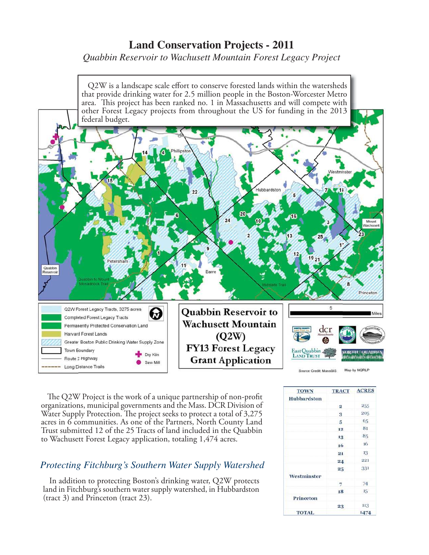## **Land Conservation Projects - 2011**

*Quabbin Reservoir to Wachusett Mountain Forest Legacy Project*



The Q2W Project is the work of a unique partnership of non-profit organizations, municipal governments and the Mass. DCR Division of Water Supply Protection. The project seeks to protect a total of 3,275 acres in 6 communities. As one of the Partners, North County Land Trust submitted 12 of the 25 Tracts of land included in the Quabbin to Wachusett Forest Legacy application, totaling 1,474 acres.

## *Protecting Fitchburg's Southern Water Supply Watershed*

In addition to protecting Boston's drinking water, Q2W protects land in Fitchburg's southern water supply watershed, in Hubbardston (tract 3) and Princeton (tract 23).

| <b>TOWN</b>  | <b>TRACT</b>   | <b>ACRES</b> |
|--------------|----------------|--------------|
| Hubbardston  |                |              |
|              | $\cdot$ 2      | 255          |
|              | 3              | 205          |
|              | 5              | 65           |
|              | 12             | 81           |
|              | 13             | 85           |
|              | 16             | 16           |
|              | 21             | 13           |
|              | 24             | 221          |
|              | 25             | 331          |
| Westminster  |                |              |
|              | $\overline{7}$ | 74           |
|              | 18             | $15 -$       |
| Princeton    |                |              |
|              | 23             | 113          |
| <b>TOTAL</b> |                | 1474         |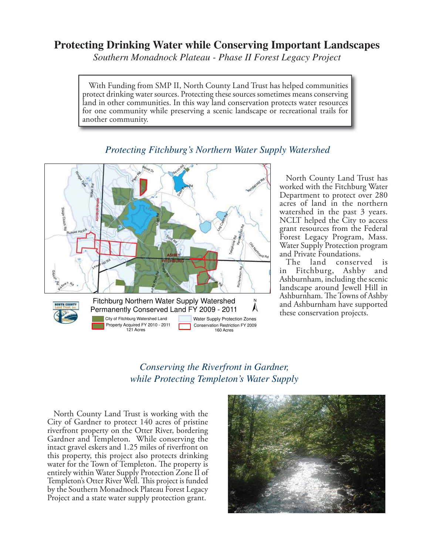## **Protecting Drinking Water while Conserving Important Landscapes**

*Southern Monadnock Plateau - Phase II Forest Legacy Project*

With Funding from SMP II, North County Land Trust has helped communities protect drinking water sources. Protecting these sources sometimes means conserving land in other communities. In this way land conservation protects water resources for one community while preserving a scenic landscape or recreational trails for another community.



#### *Protecting Fitchburg's Northern Water Supply Watershed*

North County Land Trust has worked with the Fitchburg Water Department to protect over 280 acres of land in the northern watershed in the past 3 years. NCLT helped the City to access grant resources from the Federal Forest Legacy Program, Mass. Water Supply Protection program and Private Foundations.

The land conserved is in Fitchburg, Ashby and Ashburnham, including the scenic landscape around Jewell Hill in Ashburnham. The Towns of Ashby and Ashburnham have supported these conservation projects.

## *Conserving the Riverfront in Gardner, while Protecting Templeton's Water Supply*

North County Land Trust is working with the City of Gardner to protect 140 acres of pristine riverfront property on the Otter River, bordering Gardner and Templeton. While conserving the intact gravel eskers and 1.25 miles of riverfront on this property, this project also protects drinking water for the Town of Templeton. The property is entirely within Water Supply Protection Zone II of Templeton's Otter River Well. This project is funded by the Southern Monadnock Plateau Forest Legacy Project and a state water supply protection grant.

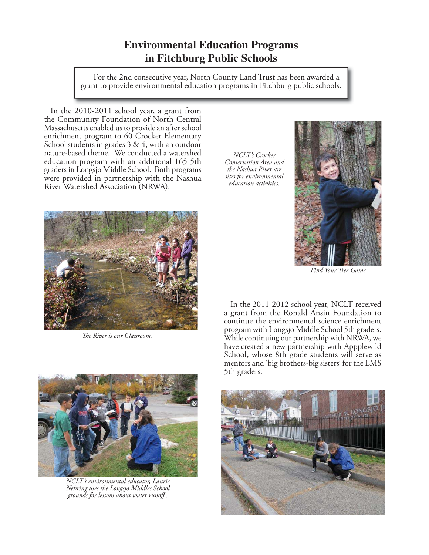# **Environmental Education Programs in Fitchburg Public Schools**

 For the 2nd consecutive year, North County Land Trust has been awarded a grant to provide environmental education programs in Fitchburg public schools.

In the 2010-2011 school year, a grant from the Community Foundation of North Central Massachusetts enabled us to provide an after school enrichment program to 60 Crocker Elementary School students in grades  $3 \& 4$ , with an outdoor nature-based theme. We conducted a watershed education program with an additional 165 5th graders in Longsjo Middle School. Both programs were provided in partnership with the Nashua River Watershed Association (NRWA).



*The River is our Classroom.* 

*NCLT's Crocker Conservation Area and the Nashua River are sites for environmental education activities.* 



*Find Your Tree Game* 

In the 2011-2012 school year, NCLT received a grant from the Ronald Ansin Foundation to continue the environmental science enrichment program with Longsjo Middle School 5th graders. While continuing our partnership with NRWA, we have created a new partnership with Appplewild School, whose 8th grade students will serve as mentors and 'big brothers-big sisters' for the LMS 5th graders.



*NCLT's environmental educator, Laurie Nehring uses the Longsjo Middles School grounds for lessons about water runoff .*

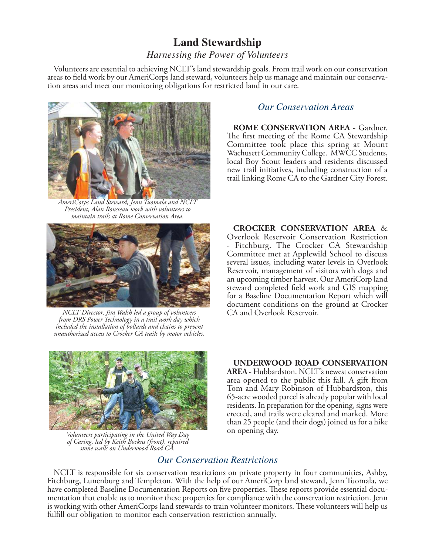# **Land Stewardship**

#### *Harnessing the Power of Volunteers*

Volunteers are essential to achieving NCLT's land stewardship goals. From trail work on our conservation areas to field work by our AmeriCorps land steward, volunteers help us manage and maintain our conservation areas and meet our monitoring obligations for restricted land in our care.



*AmeriCorps Land Steward, Jenn Tuomala and NCLT President, Alan Rousseau work with volunteers to maintain trails at Rome Conservation Area.*



*NCLT Director, Jim Walsh led a group of volunteers from DRS Power Technology in a trail work day which included the installation of bollards and chains to prevent unauthorized access to Crocker CA trails by motor vehicles.*



**ROME CONSERVATION AREA** - Gardner. The first meeting of the Rome CA Stewardship Committee took place this spring at Mount Wachusett Community College. MWCC Students, local Boy Scout leaders and residents discussed new trail initiatives, including construction of a trail linking Rome CA to the Gardner City Forest.

**CROCKER CONSERVATION AREA** & Overlook Reservoir Conservation Restriction Fitchburg. The Crocker CA Stewardship Committee met at Applewild School to discuss several issues, including water levels in Overlook Reservoir, management of visitors with dogs and an upcoming timber harvest. Our AmeriCorp land steward completed field work and GIS mapping for a Baseline Documentation Report which will document conditions on the ground at Crocker



on opening day. *Volunteers participating in the United Way Day of Caring, led by Keith Bockus (front), repaired stone walls on Underwood Road CA.*

#### **UNDERWOOD ROAD CONSERVATION**

**AREA** - Hubbardston. NCLT's newest conservation area opened to the public this fall. A gift from Tom and Mary Robinson of Hubbardston, this 65-acre wooded parcel is already popular with local residents. In preparation for the opening, signs were erected, and trails were cleared and marked. More than 25 people (and their dogs) joined us for a hike

## *Our Conservation Restrictions*

NCLT is responsible for six conservation restrictions on private property in four communities, Ashby, Fitchburg, Lunenburg and Templeton. With the help of our AmeriCorp land steward, Jenn Tuomala, we have completed Baseline Documentation Reports on five properties. These reports provide essential documentation that enable us to monitor these properties for compliance with the conservation restriction. Jenn is working with other AmeriCorps land stewards to train volunteer monitors. These volunteers will help us fulfill our obligation to monitor each conservation restriction annually.